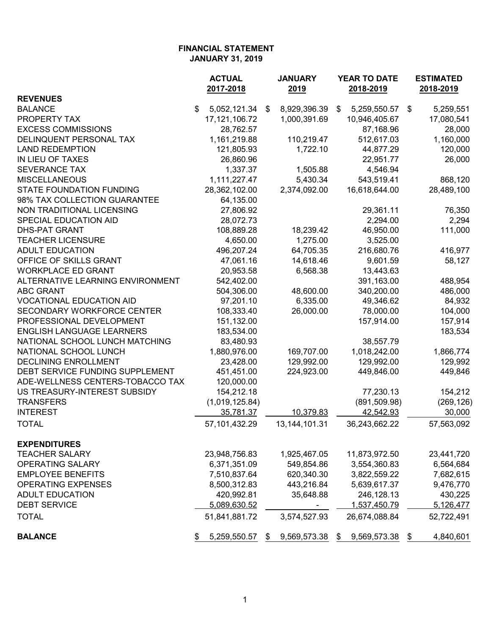|                                  | <b>ACTUAL</b><br>2017-2018 | <b>JANUARY</b><br>2019 | <b>YEAR TO DATE</b><br>2018-2019 |               | <b>ESTIMATED</b><br>2018-2019 |            |
|----------------------------------|----------------------------|------------------------|----------------------------------|---------------|-------------------------------|------------|
| <b>REVENUES</b>                  |                            |                        |                                  |               |                               |            |
| <b>BALANCE</b>                   | \$<br>5,052,121.34         | \$<br>8,929,396.39     | \$                               | 5,259,550.57  | \$                            | 5,259,551  |
| PROPERTY TAX                     | 17, 121, 106. 72           | 1,000,391.69           |                                  | 10,946,405.67 |                               | 17,080,541 |
| <b>EXCESS COMMISSIONS</b>        | 28,762.57                  |                        |                                  | 87,168.96     |                               | 28,000     |
| DELINQUENT PERSONAL TAX          | 1,161,219.88               | 110,219.47             |                                  | 512,617.03    |                               | 1,160,000  |
| <b>LAND REDEMPTION</b>           | 121,805.93                 | 1,722.10               |                                  | 44,877.29     |                               | 120,000    |
| IN LIEU OF TAXES                 | 26,860.96                  |                        |                                  | 22,951.77     |                               | 26,000     |
| <b>SEVERANCE TAX</b>             | 1,337.37                   | 1,505.88               |                                  | 4,546.94      |                               |            |
| <b>MISCELLANEOUS</b>             | 1,111,227.47               | 5,430.34               |                                  | 543,519.41    |                               | 868,120    |
| <b>STATE FOUNDATION FUNDING</b>  | 28,362,102.00              | 2,374,092.00           |                                  | 16,618,644.00 |                               | 28,489,100 |
| 98% TAX COLLECTION GUARANTEE     | 64,135.00                  |                        |                                  |               |                               |            |
| NON TRADITIONAL LICENSING        | 27,806.92                  |                        |                                  | 29,361.11     |                               | 76,350     |
| SPECIAL EDUCATION AID            | 28,072.73                  |                        |                                  | 2,294.00      |                               | 2,294      |
| <b>DHS-PAT GRANT</b>             | 108,889.28                 | 18,239.42              |                                  | 46,950.00     |                               | 111,000    |
| <b>TEACHER LICENSURE</b>         | 4,650.00                   | 1,275.00               |                                  | 3,525.00      |                               |            |
| <b>ADULT EDUCATION</b>           | 496,207.24                 | 64,705.35              |                                  | 216,680.76    |                               | 416,977    |
| OFFICE OF SKILLS GRANT           | 47,061.16                  | 14,618.46              |                                  | 9,601.59      |                               | 58,127     |
| <b>WORKPLACE ED GRANT</b>        | 20,953.58                  | 6,568.38               |                                  | 13,443.63     |                               |            |
| ALTERNATIVE LEARNING ENVIRONMENT | 542,402.00                 |                        |                                  | 391,163.00    |                               | 488,954    |
| <b>ABC GRANT</b>                 | 504,306.00                 | 48,600.00              |                                  | 340,200.00    |                               | 486,000    |
| <b>VOCATIONAL EDUCATION AID</b>  | 97,201.10                  | 6,335.00               |                                  | 49,346.62     |                               | 84,932     |
| SECONDARY WORKFORCE CENTER       | 108,333.40                 | 26,000.00              |                                  | 78,000.00     |                               | 104,000    |
| PROFESSIONAL DEVELOPMENT         | 151,132.00                 |                        |                                  | 157,914.00    |                               | 157,914    |
| <b>ENGLISH LANGUAGE LEARNERS</b> | 183,534.00                 |                        |                                  |               |                               | 183,534    |
| NATIONAL SCHOOL LUNCH MATCHING   | 83,480.93                  |                        |                                  | 38,557.79     |                               |            |
| NATIONAL SCHOOL LUNCH            | 1,880,976.00               | 169,707.00             |                                  | 1,018,242.00  |                               | 1,866,774  |
| <b>DECLINING ENROLLMENT</b>      | 23,428.00                  | 129,992.00             |                                  | 129,992.00    |                               | 129,992    |
| DEBT SERVICE FUNDING SUPPLEMENT  | 451,451.00                 | 224,923.00             |                                  | 449,846.00    |                               | 449,846    |
| ADE-WELLNESS CENTERS-TOBACCO TAX | 120,000.00                 |                        |                                  |               |                               |            |
| US TREASURY-INTEREST SUBSIDY     | 154,212.18                 |                        |                                  | 77,230.13     |                               | 154,212    |
| <b>TRANSFERS</b>                 | (1,019,125.84)             |                        |                                  | (891, 509.98) |                               | (269, 126) |
| <b>INTEREST</b>                  | 35,781.37                  | 10,379.83              |                                  | 42,542.93     |                               | 30,000     |
| <b>TOTAL</b>                     | 57,101,432.29              | 13, 144, 101. 31       |                                  | 36,243,662.22 |                               | 57,563,092 |
| <b>EXPENDITURES</b>              |                            |                        |                                  |               |                               |            |
| <b>TEACHER SALARY</b>            | 23,948,756.83              | 1,925,467.05           |                                  | 11,873,972.50 |                               | 23,441,720 |
| <b>OPERATING SALARY</b>          | 6,371,351.09               | 549,854.86             |                                  | 3,554,360.83  |                               | 6,564,684  |
| <b>EMPLOYEE BENEFITS</b>         | 7,510,837.64               | 620,340.30             |                                  | 3,822,559.22  |                               | 7,682,615  |
| <b>OPERATING EXPENSES</b>        | 8,500,312.83               | 443,216.84             |                                  | 5,639,617.37  |                               | 9,476,770  |
| <b>ADULT EDUCATION</b>           | 420,992.81                 | 35,648.88              |                                  | 246,128.13    |                               | 430,225    |
| <b>DEBT SERVICE</b>              | 5,089,630.52               | -                      |                                  | 1,537,450.79  |                               | 5,126,477  |
| <b>TOTAL</b>                     | 51,841,881.72              | 3,574,527.93           |                                  | 26,674,088.84 |                               | 52,722,491 |
| <b>BALANCE</b>                   | 5,259,550.57               | \$<br>9,569,573.38     | \$                               | 9,569,573.38  | \$                            | 4,840,601  |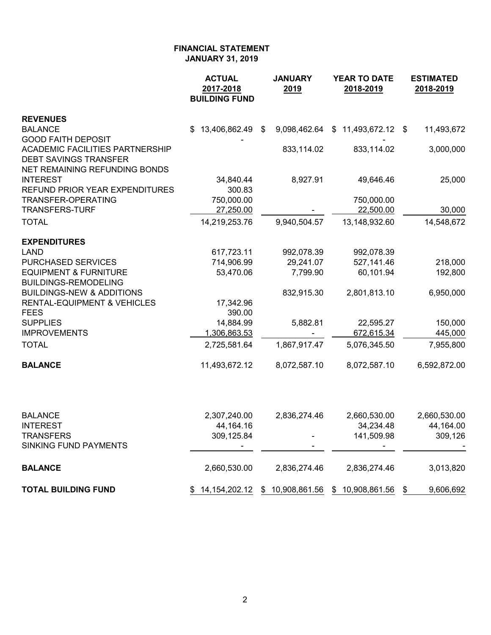|                                                                                                                                      | <b>ACTUAL</b><br>2017-2018<br><b>BUILDING FUND</b> | <b>JANUARY</b><br>2019 | YEAR TO DATE<br>2018-2019                          | <b>ESTIMATED</b><br>2018-2019 |  |  |
|--------------------------------------------------------------------------------------------------------------------------------------|----------------------------------------------------|------------------------|----------------------------------------------------|-------------------------------|--|--|
| <b>REVENUES</b>                                                                                                                      |                                                    |                        |                                                    |                               |  |  |
| <b>BALANCE</b>                                                                                                                       | $$13,406,862.49$ \$                                |                        | 9,098,462.64 \$11,493,672.12 \$                    | 11,493,672                    |  |  |
| <b>GOOD FAITH DEPOSIT</b><br><b>ACADEMIC FACILITIES PARTNERSHIP</b><br><b>DEBT SAVINGS TRANSFER</b><br>NET REMAINING REFUNDING BONDS |                                                    | 833,114.02             | 833,114.02                                         | 3,000,000                     |  |  |
| <b>INTEREST</b><br>REFUND PRIOR YEAR EXPENDITURES                                                                                    | 34,840.44<br>300.83                                | 8,927.91               | 49,646.46                                          | 25,000                        |  |  |
| TRANSFER-OPERATING                                                                                                                   | 750,000.00                                         |                        | 750,000.00                                         |                               |  |  |
| <b>TRANSFERS-TURF</b>                                                                                                                | 27,250.00                                          |                        | 22,500.00                                          | 30,000                        |  |  |
| <b>TOTAL</b>                                                                                                                         | 14,219,253.76                                      | 9,940,504.57           | 13,148,932.60                                      | 14,548,672                    |  |  |
| <b>EXPENDITURES</b>                                                                                                                  |                                                    |                        |                                                    |                               |  |  |
| <b>LAND</b>                                                                                                                          | 617,723.11                                         | 992,078.39             | 992,078.39                                         |                               |  |  |
| <b>PURCHASED SERVICES</b>                                                                                                            | 714,906.99                                         | 29,241.07              | 527,141.46                                         | 218,000                       |  |  |
| <b>EQUIPMENT &amp; FURNITURE</b><br><b>BUILDINGS-REMODELING</b>                                                                      | 53,470.06                                          | 7,799.90               | 60,101.94                                          | 192,800                       |  |  |
| <b>BUILDINGS-NEW &amp; ADDITIONS</b>                                                                                                 |                                                    | 832,915.30             | 2,801,813.10                                       | 6,950,000                     |  |  |
| <b>RENTAL-EQUIPMENT &amp; VEHICLES</b>                                                                                               | 17,342.96                                          |                        |                                                    |                               |  |  |
| <b>FEES</b>                                                                                                                          | 390.00                                             |                        |                                                    |                               |  |  |
| <b>SUPPLIES</b>                                                                                                                      | 14,884.99                                          | 5,882.81               | 22,595.27                                          | 150,000                       |  |  |
| <b>IMPROVEMENTS</b>                                                                                                                  | 1,306,863.53                                       |                        | 672,615.34                                         | 445,000                       |  |  |
| <b>TOTAL</b>                                                                                                                         | 2,725,581.64                                       | 1,867,917.47           | 5,076,345.50                                       | 7,955,800                     |  |  |
| <b>BALANCE</b>                                                                                                                       | 11,493,672.12                                      | 8,072,587.10           | 8,072,587.10                                       | 6,592,872.00                  |  |  |
|                                                                                                                                      |                                                    |                        |                                                    |                               |  |  |
| <b>BALANCE</b>                                                                                                                       | 2,307,240.00                                       | 2,836,274.46           | 2,660,530.00                                       | 2,660,530.00                  |  |  |
| <b>INTEREST</b>                                                                                                                      | 44,164.16                                          |                        | 34,234.48                                          | 44,164.00                     |  |  |
| TRANSFERS<br><b>SINKING FUND PAYMENTS</b>                                                                                            | 309,125.84                                         |                        | 141,509.98                                         | 309,126                       |  |  |
| <b>BALANCE</b>                                                                                                                       | 2,660,530.00                                       | 2,836,274.46           | 2,836,274.46                                       | 3,013,820                     |  |  |
| <b>TOTAL BUILDING FUND</b>                                                                                                           |                                                    |                        | \$ 14,154,202.12 \$ 10,908,861.56 \$ 10,908,861.56 | 9,606,692<br>\$               |  |  |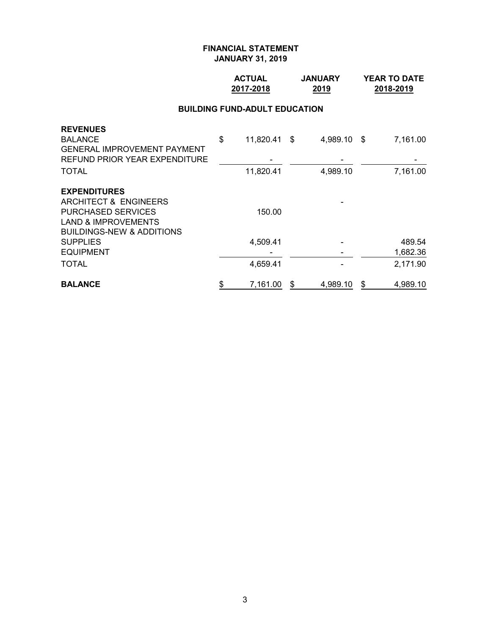### **ACTUAL JANUARY YEAR TO DATE 2017-2018 2019 2018-2019**

## **BUILDING FUND-ADULT EDUCATION**

| <b>BALANCE</b>                       | \$<br>7,161.00     | S | 4,989.10    | \$<br>4,989.10 |
|--------------------------------------|--------------------|---|-------------|----------------|
| <b>TOTAL</b>                         | 4,659.41           |   |             | 2,171.90       |
| <b>EQUIPMENT</b>                     |                    |   |             | 1,682.36       |
| <b>SUPPLIES</b>                      | 4,509.41           |   |             | 489.54         |
| <b>BUILDINGS-NEW &amp; ADDITIONS</b> |                    |   |             |                |
| <b>LAND &amp; IMPROVEMENTS</b>       |                    |   |             |                |
| <b>PURCHASED SERVICES</b>            | 150.00             |   |             |                |
| ARCHITECT & ENGINEERS                |                    |   |             |                |
| <b>EXPENDITURES</b>                  |                    |   |             |                |
| <b>TOTAL</b>                         | 11,820.41          |   | 4,989.10    | 7,161.00       |
| REFUND PRIOR YEAR EXPENDITURE        |                    |   |             |                |
| <b>GENERAL IMPROVEMENT PAYMENT</b>   |                    |   |             |                |
| <b>REVENUES</b><br><b>BALANCE</b>    | \$<br>11,820.41 \$ |   | 4,989.10 \$ | 7,161.00       |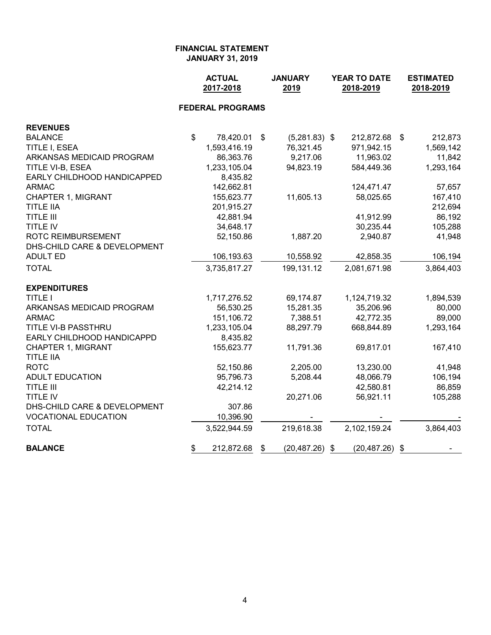|                              | <b>ACTUAL</b><br>2017-2018 |                         | <b>JANUARY</b><br>2019 | YEAR TO DATE<br>2018-2019 | <b>ESTIMATED</b><br>2018-2019 |
|------------------------------|----------------------------|-------------------------|------------------------|---------------------------|-------------------------------|
|                              |                            | <b>FEDERAL PROGRAMS</b> |                        |                           |                               |
| <b>REVENUES</b>              |                            |                         |                        |                           |                               |
| <b>BALANCE</b>               | \$                         | 78,420.01               | \$<br>$(5,281.83)$ \$  | 212,872.68                | \$<br>212,873                 |
| TITLE I, ESEA                |                            | 1,593,416.19            | 76,321.45              | 971,942.15                | 1,569,142                     |
| ARKANSAS MEDICAID PROGRAM    |                            | 86,363.76               | 9,217.06               | 11,963.02                 | 11,842                        |
| TITLE VI-B, ESEA             |                            | 1,233,105.04            | 94,823.19              | 584,449.36                | 1,293,164                     |
| EARLY CHILDHOOD HANDICAPPED  |                            | 8,435.82                |                        |                           |                               |
| <b>ARMAC</b>                 |                            | 142,662.81              |                        | 124,471.47                | 57,657                        |
| CHAPTER 1, MIGRANT           |                            | 155,623.77              | 11,605.13              | 58,025.65                 | 167,410                       |
| <b>TITLE IIA</b>             |                            | 201,915.27              |                        |                           | 212,694                       |
| <b>TITLE III</b>             |                            | 42,881.94               |                        | 41,912.99                 | 86,192                        |
| TITLE IV                     |                            | 34,648.17               |                        | 30,235.44                 | 105,288                       |
| ROTC REIMBURSEMENT           |                            | 52,150.86               | 1,887.20               | 2,940.87                  | 41,948                        |
| DHS-CHILD CARE & DEVELOPMENT |                            |                         |                        |                           |                               |
| <b>ADULT ED</b>              |                            | 106,193.63              | 10,558.92              | 42,858.35                 | 106,194                       |
| <b>TOTAL</b>                 |                            | 3,735,817.27            | 199,131.12             | 2,081,671.98              | 3,864,403                     |
| <b>EXPENDITURES</b>          |                            |                         |                        |                           |                               |
| <b>TITLE I</b>               |                            | 1,717,276.52            | 69,174.87              | 1,124,719.32              | 1,894,539                     |
| ARKANSAS MEDICAID PROGRAM    |                            | 56,530.25               | 15,281.35              | 35,206.96                 | 80,000                        |
| <b>ARMAC</b>                 |                            | 151,106.72              | 7,388.51               | 42,772.35                 | 89,000                        |
| TITLE VI-B PASSTHRU          |                            | 1,233,105.04            | 88,297.79              | 668,844.89                | 1,293,164                     |
| EARLY CHILDHOOD HANDICAPPD   |                            | 8,435.82                |                        |                           |                               |
| <b>CHAPTER 1, MIGRANT</b>    |                            | 155,623.77              | 11,791.36              | 69,817.01                 | 167,410                       |
| <b>TITLE IIA</b>             |                            |                         |                        |                           |                               |
| <b>ROTC</b>                  |                            | 52,150.86               | 2,205.00               | 13,230.00                 | 41,948                        |
| <b>ADULT EDUCATION</b>       |                            | 95,796.73               | 5,208.44               | 48,066.79                 | 106,194                       |
| <b>TITLE III</b>             |                            | 42,214.12               |                        | 42,580.81                 | 86,859                        |
| TITLE IV                     |                            |                         | 20,271.06              | 56,921.11                 | 105,288                       |
| DHS-CHILD CARE & DEVELOPMENT |                            | 307.86                  |                        |                           |                               |
| <b>VOCATIONAL EDUCATION</b>  |                            | 10,396.90               |                        |                           |                               |
| <b>TOTAL</b>                 |                            | 3,522,944.59            | 219,618.38             | 2,102,159.24              | 3,864,403                     |
| <b>BALANCE</b>               | \$                         | 212,872.68              | \$<br>(20,487.26)      | \$<br>(20,487.26)         | \$                            |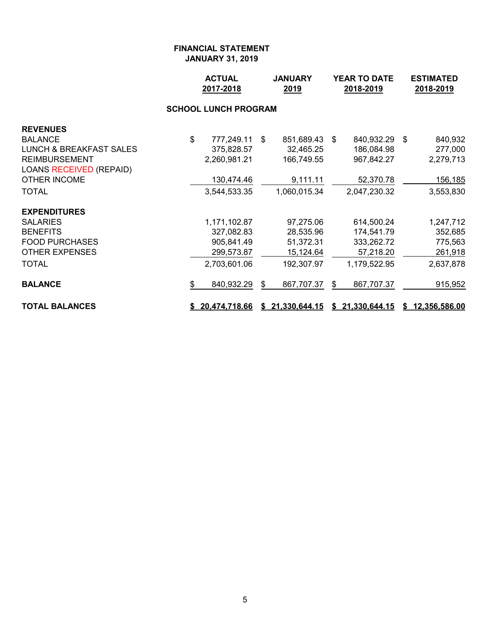|                                    |                             | <b>ACTUAL</b><br>2017-2018 | <b>JANUARY</b><br>2019 |                  | YEAR TO DATE<br>2018-2019 |                 |  | <b>ESTIMATED</b><br>2018-2019 |  |  |
|------------------------------------|-----------------------------|----------------------------|------------------------|------------------|---------------------------|-----------------|--|-------------------------------|--|--|
|                                    | <b>SCHOOL LUNCH PROGRAM</b> |                            |                        |                  |                           |                 |  |                               |  |  |
| <b>REVENUES</b>                    |                             |                            |                        |                  |                           |                 |  |                               |  |  |
| <b>BALANCE</b>                     | \$                          | 777,249.11                 | - \$                   | 851,689.43 \$    |                           | 840,932.29 \$   |  | 840,932                       |  |  |
| <b>LUNCH &amp; BREAKFAST SALES</b> |                             | 375,828.57                 |                        | 32,465.25        |                           | 186,084.98      |  | 277,000                       |  |  |
| <b>REIMBURSEMENT</b>               |                             | 2,260,981.21               |                        | 166,749.55       |                           | 967,842.27      |  | 2,279,713                     |  |  |
| LOANS RECEIVED (REPAID)            |                             |                            |                        |                  |                           |                 |  |                               |  |  |
| OTHER INCOME                       |                             | 130,474.46                 |                        | 9,111.11         |                           | 52,370.78       |  | 156,185                       |  |  |
| <b>TOTAL</b>                       |                             | 3,544,533.35               |                        | 1,060,015.34     |                           | 2,047,230.32    |  | 3,553,830                     |  |  |
| <b>EXPENDITURES</b>                |                             |                            |                        |                  |                           |                 |  |                               |  |  |
| <b>SALARIES</b>                    |                             | 1,171,102.87               |                        | 97,275.06        |                           | 614,500.24      |  | 1,247,712                     |  |  |
| <b>BENEFITS</b>                    |                             | 327,082.83                 |                        | 28,535.96        |                           | 174,541.79      |  | 352,685                       |  |  |
| <b>FOOD PURCHASES</b>              |                             | 905,841.49                 |                        | 51,372.31        |                           | 333,262.72      |  | 775,563                       |  |  |
| <b>OTHER EXPENSES</b>              |                             | 299,573.87                 |                        | <u>15,124.64</u> |                           | 57,218.20       |  | 261,918                       |  |  |
| <b>TOTAL</b>                       |                             | 2,703,601.06               |                        | 192,307.97       |                           | 1,179,522.95    |  | 2,637,878                     |  |  |
| <b>BALANCE</b>                     | \$                          | 840,932.29                 | \$                     | 867,707.37       | \$                        | 867,707.37      |  | 915,952                       |  |  |
| <b>TOTAL BALANCES</b>              |                             | \$20,474,718.66            |                        | \$21,330,644.15  |                           | \$21,330,644.15 |  | \$12,356,586.00               |  |  |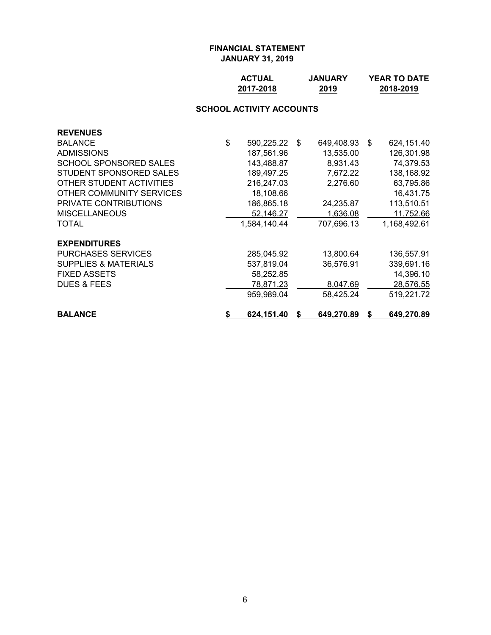| <b>ACTUAL</b> | <b>JANUARY</b> | <b>YEAR TO DATE</b> |
|---------------|----------------|---------------------|
| 2017-2018     | 2019           | 2018-2019           |

# **SCHOOL ACTIVITY ACCOUNTS**

| <b>REVENUES</b>                 |                     |            |                  |
|---------------------------------|---------------------|------------|------------------|
| <b>BALANCE</b>                  | \$<br>590,225.22 \$ | 649,408.93 | \$<br>624,151.40 |
| <b>ADMISSIONS</b>               | 187,561.96          | 13,535.00  | 126,301.98       |
| SCHOOL SPONSORED SALES          | 143,488.87          | 8,931.43   | 74,379.53        |
| STUDENT SPONSORED SALES         | 189,497.25          | 7,672.22   | 138,168.92       |
| OTHER STUDENT ACTIVITIES        | 216,247.03          | 2,276.60   | 63,795.86        |
| OTHER COMMUNITY SERVICES        | 18,108.66           |            | 16,431.75        |
| <b>PRIVATE CONTRIBUTIONS</b>    | 186,865.18          | 24,235.87  | 113,510.51       |
| <b>MISCELLANEOUS</b>            | 52,146.27           | 1,636.08   | 11,752.66        |
| TOTAL                           | 1,584,140.44        | 707,696.13 | 1,168,492.61     |
| <b>EXPENDITURES</b>             |                     |            |                  |
| <b>PURCHASES SERVICES</b>       | 285,045.92          | 13,800.64  | 136,557.91       |
| <b>SUPPLIES &amp; MATERIALS</b> | 537,819.04          | 36,576.91  | 339,691.16       |
| <b>FIXED ASSETS</b>             | 58,252.85           |            | 14,396.10        |
| <b>DUES &amp; FEES</b>          | 78,871.23           | 8,047.69   | 28,576.55        |
|                                 | 959,989.04          | 58,425.24  | 519,221.72       |
| <b>BALANCE</b>                  | 624,151.40          | 649,270.89 | 649,270.89       |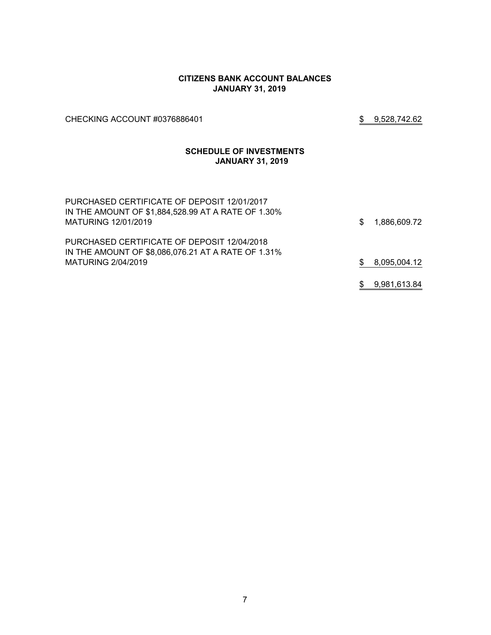#### **CITIZENS BANK ACCOUNT BALANCES JANUARY 31, 2019**

CHECKING ACCOUNT #0376886401 \$ 9,528,742.62

#### **SCHEDULE OF INVESTMENTS JANUARY 31, 2019**

| PURCHASED CERTIFICATE OF DEPOSIT 12/01/2017<br>IN THE AMOUNT OF \$1,884,528.99 AT A RATE OF 1.30%<br>MATURING 12/01/2019 | \$. | 1,886,609.72 |
|--------------------------------------------------------------------------------------------------------------------------|-----|--------------|
| PURCHASED CERTIFICATE OF DEPOSIT 12/04/2018<br>IN THE AMOUNT OF \$8,086,076.21 AT A RATE OF 1.31%<br>MATURING 2/04/2019  | \$. | 8,095,004.12 |
|                                                                                                                          |     | 9,981,613.84 |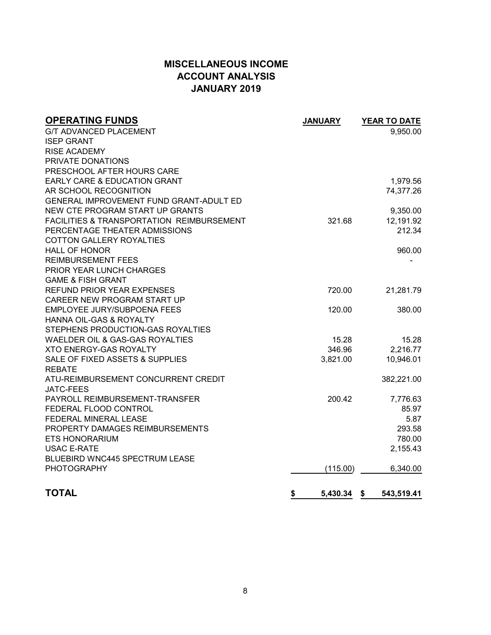# **MISCELLANEOUS INCOME ACCOUNT ANALYSIS JANUARY 2019**

| <b>OPERATING FUNDS</b>                               | <b>JANUARY</b> | YEAR TO DATE |
|------------------------------------------------------|----------------|--------------|
| <b>G/T ADVANCED PLACEMENT</b>                        |                | 9,950.00     |
| <b>ISEP GRANT</b>                                    |                |              |
| <b>RISE ACADEMY</b>                                  |                |              |
| PRIVATE DONATIONS                                    |                |              |
| PRESCHOOL AFTER HOURS CARE                           |                |              |
| <b>EARLY CARE &amp; EDUCATION GRANT</b>              |                | 1,979.56     |
| AR SCHOOL RECOGNITION                                |                | 74,377.26    |
| GENERAL IMPROVEMENT FUND GRANT-ADULT ED              |                |              |
| NEW CTE PROGRAM START UP GRANTS                      |                | 9,350.00     |
| <b>FACILITIES &amp; TRANSPORTATION REIMBURSEMENT</b> | 321.68         | 12,191.92    |
| PERCENTAGE THEATER ADMISSIONS                        |                | 212.34       |
| <b>COTTON GALLERY ROYALTIES</b>                      |                |              |
| <b>HALL OF HONOR</b>                                 |                | 960.00       |
| <b>REIMBURSEMENT FEES</b>                            |                |              |
| PRIOR YEAR LUNCH CHARGES                             |                |              |
| <b>GAME &amp; FISH GRANT</b>                         |                |              |
| <b>REFUND PRIOR YEAR EXPENSES</b>                    | 720.00         | 21,281.79    |
| CAREER NEW PROGRAM START UP                          |                |              |
| EMPLOYEE JURY/SUBPOENA FEES                          | 120.00         | 380.00       |
| <b>HANNA OIL-GAS &amp; ROYALTY</b>                   |                |              |
| STEPHENS PRODUCTION-GAS ROYALTIES                    |                |              |
| WAELDER OIL & GAS-GAS ROYALTIES                      | 15.28          | 15.28        |
| <b>XTO ENERGY-GAS ROYALTY</b>                        | 346.96         | 2,216.77     |
| SALE OF FIXED ASSETS & SUPPLIES                      | 3,821.00       | 10,946.01    |
| <b>REBATE</b>                                        |                |              |
| ATU-REIMBURSEMENT CONCURRENT CREDIT                  |                | 382,221.00   |
| <b>JATC-FEES</b>                                     |                |              |
| PAYROLL REIMBURSEMENT-TRANSFER                       | 200.42         | 7,776.63     |
| FEDERAL FLOOD CONTROL                                |                | 85.97        |
| FEDERAL MINERAL LEASE                                |                | 5.87         |
| PROPERTY DAMAGES REIMBURSEMENTS                      |                | 293.58       |
| <b>ETS HONORARIUM</b>                                |                | 780.00       |
| <b>USAC E-RATE</b>                                   |                | 2,155.43     |
| <b>BLUEBIRD WNC445 SPECTRUM LEASE</b>                |                |              |
| <b>PHOTOGRAPHY</b>                                   | (115.00)       | 6,340.00     |
|                                                      |                |              |
| <b>TOTAL</b><br>\$                                   | 5,430.34 \$    | 543,519.41   |